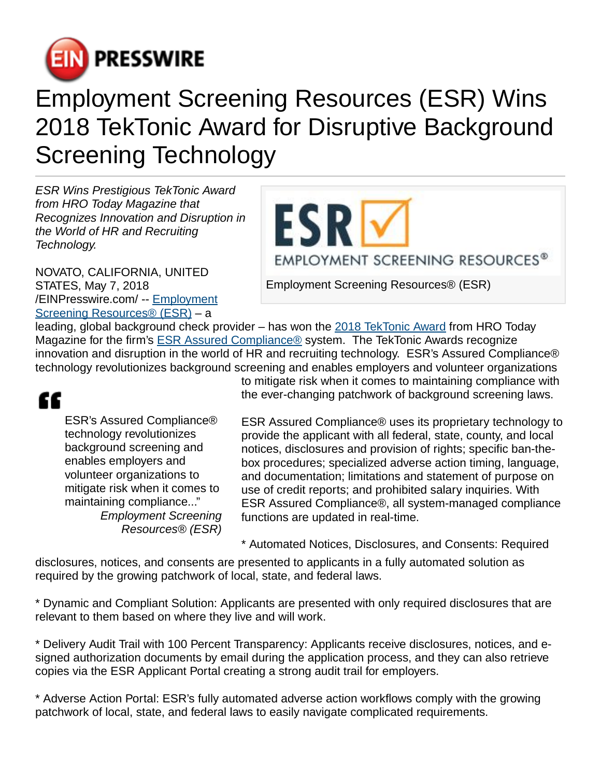

## Employment Screening Resources (ESR) Wins 2018 TekTonic Award for Disruptive Background Screening Technology

ESR Wins Prestigious TekTonic Award from HRO Today Magazine that Recognizes Innovation and Disruption in the World of HR and Recruiting Technology.

NOVATO, CALIFORNIA, UNITED STATES, May 7, 2018 [/EINPresswire.com](http://www.einpresswire.com)/ -- [Employment](http://www.esrcheck.com) [Screening Resources® \(ESR\)](http://www.esrcheck.com) – a

ESRI EMPLOYMENT SCREENING RESOURCES®

Employment Screening Resources® (ESR)

leading, global background check provider – has won the [2018 TekTonic Award](https://twitter.com/HROToday/status/991753378597425154) from HRO Today Magazine for the firm's [ESR Assured Compliance®](http://www.esrcheck.com/Technology-Solutions/Assured-Compliance/) system. The TekTonic Awards recognize innovation and disruption in the world of HR and recruiting technology. ESR's Assured Compliance® technology revolutionizes background screening and enables employers and volunteer organizations

## ££

ESR's Assured Compliance® technology revolutionizes background screening and enables employers and volunteer organizations to mitigate risk when it comes to maintaining compliance..." Employment Screening Resources® (ESR) to mitigate risk when it comes to maintaining compliance with the ever-changing patchwork of background screening laws.

ESR Assured Compliance® uses its proprietary technology to provide the applicant with all federal, state, county, and local notices, disclosures and provision of rights; specific ban-thebox procedures; specialized adverse action timing, language, and documentation; limitations and statement of purpose on use of credit reports; and prohibited salary inquiries. With ESR Assured Compliance®, all system-managed compliance functions are updated in real-time.

\* Automated Notices, Disclosures, and Consents: Required

disclosures, notices, and consents are presented to applicants in a fully automated solution as required by the growing patchwork of local, state, and federal laws.

\* Dynamic and Compliant Solution: Applicants are presented with only required disclosures that are relevant to them based on where they live and will work.

\* Delivery Audit Trail with 100 Percent Transparency: Applicants receive disclosures, notices, and esigned authorization documents by email during the application process, and they can also retrieve copies via the ESR Applicant Portal creating a strong audit trail for employers.

\* Adverse Action Portal: ESR's fully automated adverse action workflows comply with the growing patchwork of local, state, and federal laws to easily navigate complicated requirements.